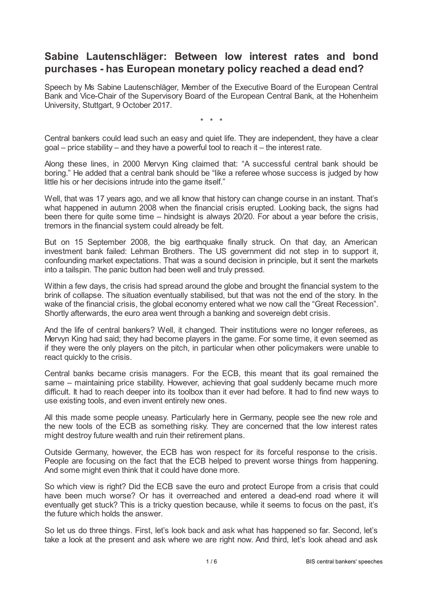# **Sabine Lautenschläger: Between low interest rates and bond purchases - has European monetary policy reached a dead end?**

Speech by Ms Sabine Lautenschläger, Member of the Executive Board of the European Central Bank and Vice-Chair of the Supervisory Board of the European Central Bank, at the Hohenheim University, Stuttgart, 9 October 2017.

\* \* \*

Central bankers could lead such an easy and quiet life. They are independent, they have a clear  $\alpha$  goal – price stability – and they have a powerful tool to reach it – the interest rate.

Along these lines, in 2000 Mervyn King claimed that: "A successful central bank should be boring." He added that a central bank should be "like a referee whose success is judged by how little his or her decisions intrude into the game itself."

Well, that was 17 years ago, and we all know that history can change course in an instant. That's what happened in autumn 2008 when the financial crisis erupted. Looking back, the signs had been there for quite some time – hindsight is always 20/20. For about a year before the crisis, tremors in the financial system could already be felt.

But on 15 September 2008, the big earthquake finally struck. On that day, an American investment bank failed: Lehman Brothers. The US government did not step in to support it, confounding market expectations. That was a sound decision in principle, but it sent the markets into a tailspin. The panic button had been well and truly pressed.

Within a few days, the crisis had spread around the globe and brought the financial system to the brink of collapse. The situation eventually stabilised, but that was not the end of the story. In the wake of the financial crisis, the global economy entered what we now call the "Great Recession". Shortly afterwards, the euro area went through a banking and sovereign debt crisis.

And the life of central bankers? Well, it changed. Their institutions were no longer referees, as Mervyn King had said; they had become players in the game. For some time, it even seemed as if they were the only players on the pitch, in particular when other policymakers were unable to react quickly to the crisis.

Central banks became crisis managers. For the ECB, this meant that its goal remained the same – maintaining price stability. However, achieving that goal suddenly became much more difficult. It had to reach deeper into its toolbox than it ever had before. It had to find new ways to use existing tools, and even invent entirely new ones.

All this made some people uneasy. Particularly here in Germany, people see the new role and the new tools of the ECB as something risky. They are concerned that the low interest rates might destroy future wealth and ruin their retirement plans.

Outside Germany, however, the ECB has won respect for its forceful response to the crisis. People are focusing on the fact that the ECB helped to prevent worse things from happening. And some might even think that it could have done more.

So which view is right? Did the ECB save the euro and protect Europe from a crisis that could have been much worse? Or has it overreached and entered a dead-end road where it will eventually get stuck? This is a tricky question because, while it seems to focus on the past, it's the future which holds the answer.

So let us do three things. First, let's look back and ask what has happened so far. Second, let's take a look at the present and ask where we are right now. And third, let's look ahead and ask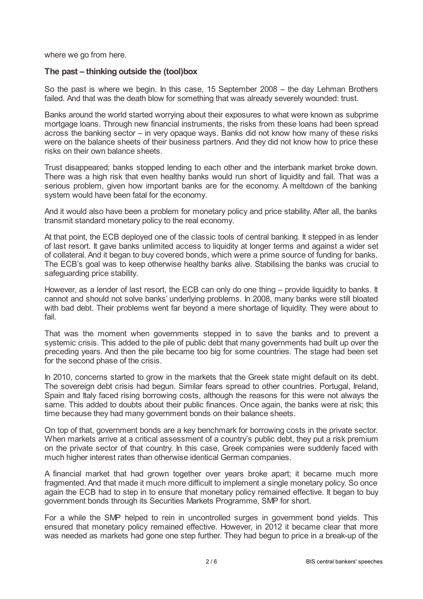where we go from here.

## **The past – thinking outside the (tool)box**

So the past is where we begin. In this case, 15 September 2008 – the day Lehman Brothers failed. And that was the death blow for something that was already severely wounded: trust.

Banks around the world started worrying about their exposures to what were known as subprime mortgage loans. Through new financial instruments, the risks from these loans had been spread across the banking sector – in very opaque ways. Banks did not know how many of these risks were on the balance sheets of their business partners. And they did not know how to price these risks on their own balance sheets.

Trust disappeared; banks stopped lending to each other and the interbank market broke down. There was a high risk that even healthy banks would run short of liquidity and fail. That was a serious problem, given how important banks are for the economy. A meltdown of the banking system would have been fatal for the economy.

And it would also have been a problem for monetary policy and price stability. After all, the banks transmit standard monetary policy to the real economy.

At that point, the ECB deployed one of the classic tools of central banking. It stepped in as lender of last resort. It gave banks unlimited access to liquidity at longer terms and against a wider set of collateral. And it began to buy covered bonds, which were a prime source of funding for banks. The ECB's goal was to keep otherwise healthy banks alive. Stabilising the banks was crucial to safeguarding price stability.

However, as a lender of last resort, the ECB can only do one thing – provide liquidity to banks. It cannot and should not solve banks' underlying problems. In 2008, many banks were still bloated with bad debt. Their problems went far beyond a mere shortage of liquidity. They were about to fail.

That was the moment when governments stepped in to save the banks and to prevent a systemic crisis. This added to the pile of public debt that many governments had built up over the preceding years. And then the pile became too big for some countries. The stage had been set for the second phase of the crisis.

In 2010, concerns started to grow in the markets that the Greek state might default on its debt. The sovereign debt crisis had begun. Similar fears spread to other countries. Portugal, Ireland, Spain and Italy faced rising borrowing costs, although the reasons for this were not always the same. This added to doubts about their public finances. Once again, the banks were at risk; this time because they had many government bonds on their balance sheets.

On top of that, government bonds are a key benchmark for borrowing costs in the private sector. When markets arrive at a critical assessment of a country's public debt, they put a risk premium on the private sector of that country. In this case, Greek companies were suddenly faced with much higher interest rates than otherwise identical German companies.

A financial market that had grown together over years broke apart; it became much more fragmented. And that made it much more difficult to implement a single monetary policy. So once again the ECB had to step in to ensure that monetary policy remained effective. It began to buy government bonds through its Securities Markets Programme, SMP for short.

For a while the SMP helped to rein in uncontrolled surges in government bond yields. This ensured that monetary policy remained effective. However, in 2012 it became clear that more was needed as markets had gone one step further. They had begun to price in a break-up of the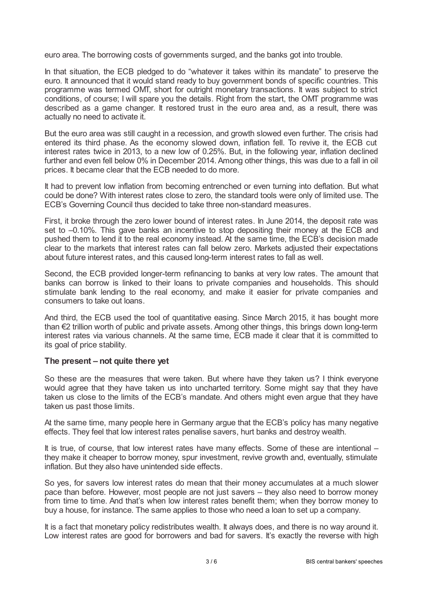euro area. The borrowing costs of governments surged, and the banks got into trouble.

In that situation, the ECB pledged to do "whatever it takes within its mandate" to preserve the euro. It announced that it would stand ready to buy government bonds of specific countries. This programme was termed OMT, short for outright monetary transactions. It was subject to strict conditions, of course; I will spare you the details. Right from the start, the OMT programme was described as a game changer. It restored trust in the euro area and, as a result, there was actually no need to activate it.

But the euro area was still caught in a recession, and growth slowed even further. The crisis had entered its third phase. As the economy slowed down, inflation fell. To revive it, the ECB cut interest rates twice in 2013, to a new low of 0.25%. But, in the following year, inflation declined further and even fell below 0% in December 2014. Among other things, this was due to a fall in oil prices. It became clear that the ECB needed to do more.

It had to prevent low inflation from becoming entrenched or even turning into deflation. But what could be done? With interest rates close to zero, the standard tools were only of limited use. The ECB's Governing Council thus decided to take three non-standard measures.

First, it broke through the zero lower bound of interest rates. In June 2014, the deposit rate was set to  $-0.10$ %. This gave banks an incentive to stop depositing their money at the ECB and pushed them to lend it to the real economy instead. At the same time, the ECB's decision made clear to the markets that interest rates can fall below zero. Markets adjusted their expectations about future interest rates, and this caused long-term interest rates to fall as well.

Second, the ECB provided longer-term refinancing to banks at very low rates. The amount that banks can borrow is linked to their loans to private companies and households. This should stimulate bank lending to the real economy, and make it easier for private companies and consumers to take out loans.

And third, the ECB used the tool of quantitative easing. Since March 2015, it has bought more than €2 trillion worth of public and private assets. Among other things, this brings down long-term interest rates via various channels. At the same time, ECB made it clear that it is committed to its goal of price stability.

### **The present – not quite there yet**

So these are the measures that were taken. But where have they taken us? I think everyone would agree that they have taken us into uncharted territory. Some might say that they have taken us close to the limits of the ECB's mandate. And others might even argue that they have taken us past those limits.

At the same time, many people here in Germany argue that the ECB's policy has many negative effects. They feel that low interest rates penalise savers, hurt banks and destroy wealth.

It is true, of course, that low interest rates have many effects. Some of these are intentional – they make it cheaper to borrow money, spur investment, revive growth and, eventually, stimulate inflation. But they also have unintended side effects.

So yes, for savers low interest rates do mean that their money accumulates at a much slower pace than before. However, most people are not just savers – they also need to borrow money from time to time. And that's when low interest rates benefit them; when they borrow money to buy a house, for instance. The same applies to those who need a loan to set up a company.

It is a fact that monetary policy redistributes wealth. It always does, and there is no way around it. Low interest rates are good for borrowers and bad for savers. It's exactly the reverse with high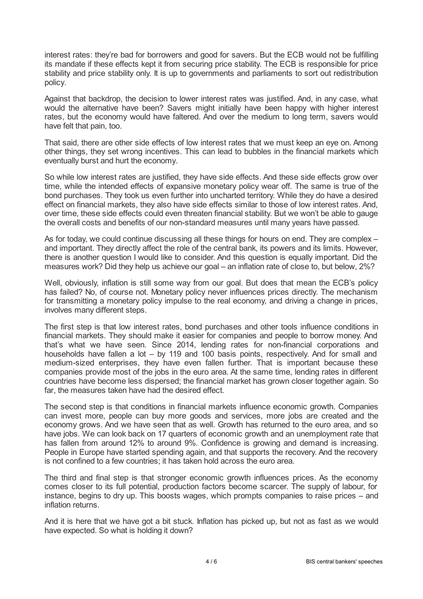interest rates: they're bad for borrowers and good for savers. But the ECB would not be fulfilling its mandate if these effects kept it from securing price stability. The ECB is responsible for price stability and price stability only. It is up to governments and parliaments to sort out redistribution policy.

Against that backdrop, the decision to lower interest rates was justified. And, in any case, what would the alternative have been? Savers might initially have been happy with higher interest rates, but the economy would have faltered. And over the medium to long term, savers would have felt that pain, too.

That said, there are other side effects of low interest rates that we must keep an eye on. Among other things, they set wrong incentives. This can lead to bubbles in the financial markets which eventually burst and hurt the economy.

So while low interest rates are justified, they have side effects. And these side effects grow over time, while the intended effects of expansive monetary policy wear off. The same is true of the bond purchases. They took us even further into uncharted territory. While they do have a desired effect on financial markets, they also have side effects similar to those of low interest rates. And, over time, these side effects could even threaten financial stability. But we won't be able to gauge the overall costs and benefits of our non-standard measures until many years have passed.

As for today, we could continue discussing all these things for hours on end. They are complex – and important. They directly affect the role of the central bank, its powers and its limits. However, there is another question I would like to consider. And this question is equally important. Did the measures work? Did they help us achieve our goal – an inflation rate of close to, but below, 2%?

Well, obviously, inflation is still some way from our goal. But does that mean the ECB's policy has failed? No, of course not. Monetary policy never influences prices directly. The mechanism for transmitting a monetary policy impulse to the real economy, and driving a change in prices, involves many different steps.

The first step is that low interest rates, bond purchases and other tools influence conditions in financial markets. They should make it easier for companies and people to borrow money. And that's what we have seen. Since 2014, lending rates for non-financial corporations and households have fallen a lot – by 119 and 100 basis points, respectively. And for small and medium-sized enterprises, they have even fallen further. That is important because these companies provide most of the jobs in the euro area. At the same time, lending rates in different countries have become less dispersed; the financial market has grown closer together again. So far, the measures taken have had the desired effect.

The second step is that conditions in financial markets influence economic growth. Companies can invest more, people can buy more goods and services, more jobs are created and the economy grows. And we have seen that as well. Growth has returned to the euro area, and so have jobs. We can look back on 17 quarters of economic growth and an unemployment rate that has fallen from around 12% to around 9%. Confidence is growing and demand is increasing. People in Europe have started spending again, and that supports the recovery. And the recovery is not confined to a few countries; it has taken hold across the euro area.

The third and final step is that stronger economic growth influences prices. As the economy comes closer to its full potential, production factors become scarcer. The supply of labour, for instance, begins to dry up. This boosts wages, which prompts companies to raise prices – and inflation returns.

And it is here that we have got a bit stuck. Inflation has picked up, but not as fast as we would have expected. So what is holding it down?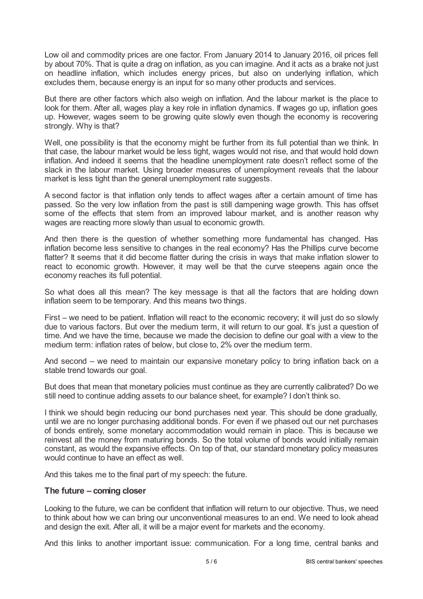Low oil and commodity prices are one factor. From January 2014 to January 2016, oil prices fell by about 70%. That is quite a drag on inflation, as you can imagine. And it acts as a brake not just on headline inflation, which includes energy prices, but also on underlying inflation, which excludes them, because energy is an input for so many other products and services.

But there are other factors which also weigh on inflation. And the labour market is the place to look for them. After all, wages play a key role in inflation dynamics. If wages go up, inflation goes up. However, wages seem to be growing quite slowly even though the economy is recovering strongly. Why is that?

Well, one possibility is that the economy might be further from its full potential than we think. In that case, the labour market would be less tight, wages would not rise, and that would hold down inflation. And indeed it seems that the headline unemployment rate doesn't reflect some of the slack in the labour market. Using broader measures of unemployment reveals that the labour market is less tight than the general unemployment rate suggests.

A second factor is that inflation only tends to affect wages after a certain amount of time has passed. So the very low inflation from the past is still dampening wage growth. This has offset some of the effects that stem from an improved labour market, and is another reason why wages are reacting more slowly than usual to economic growth.

And then there is the question of whether something more fundamental has changed. Has inflation become less sensitive to changes in the real economy? Has the Phillips curve become flatter? It seems that it did become flatter during the crisis in ways that make inflation slower to react to economic growth. However, it may well be that the curve steepens again once the economy reaches its full potential.

So what does all this mean? The key message is that all the factors that are holding down inflation seem to be temporary. And this means two things.

First – we need to be patient. Inflation will react to the economic recovery; it will just do so slowly due to various factors. But over the medium term, it will return to our goal. It's just a question of time. And we have the time, because we made the decision to define our goal with a view to the medium term: inflation rates of below, but close to, 2% over the medium term.

And second – we need to maintain our expansive monetary policy to bring inflation back on a stable trend towards our goal.

But does that mean that monetary policies must continue as they are currently calibrated? Do we still need to continue adding assets to our balance sheet, for example? I don't think so.

I think we should begin reducing our bond purchases next year. This should be done gradually, until we are no longer purchasing additional bonds. For even if we phased out our net purchases of bonds entirely, some monetary accommodation would remain in place. This is because we reinvest all the money from maturing bonds. So the total volume of bonds would initially remain constant, as would the expansive effects. On top of that, our standard monetary policy measures would continue to have an effect as well.

And this takes me to the final part of my speech: the future.

### **The future – coming closer**

Looking to the future, we can be confident that inflation will return to our objective. Thus, we need to think about how we can bring our unconventional measures to an end. We need to look ahead and design the exit. After all, it will be a major event for markets and the economy.

And this links to another important issue: communication. For a long time, central banks and